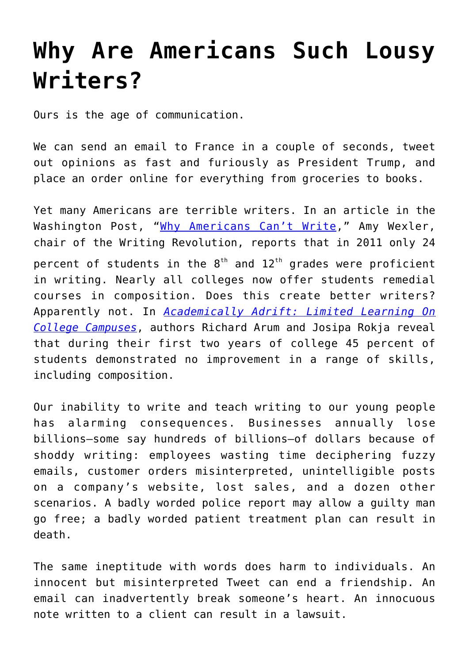## **[Why Are Americans Such Lousy](https://intellectualtakeout.org/2018/08/why-are-americans-such-lousy-writers/) [Writers?](https://intellectualtakeout.org/2018/08/why-are-americans-such-lousy-writers/)**

Ours is the age of communication.

We can send an email to France in a couple of seconds, tweet out opinions as fast and furiously as President Trump, and place an order online for everything from groceries to books.

Yet many Americans are terrible writers. In an article in the Washington Post, "[Why Americans Can't Write](https://www.google.com/url?sa=t&rct=j&q=&esrc=s&source=web&cd=1&cad=rja&uact=8&ved=2ahUKEwj6st6diZDdAhV4CjQIHXhoDJAQFjAAegQIBBAB&url=https%3A%2F%2Fwww.washingtonpost.com%2Fopinions%2Fwhy-americans-cant-write%2F2015%2F09%2F24%2F6e7f420a-6088-11e5-9757-e49273f05f65_story.html&usg=AOvVaw0ImtTlDsPZxqknoSqkgvPI)," Amy Wexler, chair of the Writing Revolution, reports that in 2011 only 24 percent of students in the  $8<sup>th</sup>$  and  $12<sup>th</sup>$  grades were proficient in writing. Nearly all colleges now offer students remedial courses in composition. Does this create better writers? Apparently not. In *[Academically Adrift: Limited Learning On](https://www.amazon.com/gp/product/0226028569/ref=as_li_qf_asin_il_tl?ie=UTF8&tag=intelltakeo0d-20&creative=9325&linkCode=as2&creativeASIN=0226028569&linkId=ffdc3e3fb54f7bedc6b88016597b67f5) [College Campuses](https://www.amazon.com/gp/product/0226028569/ref=as_li_qf_asin_il_tl?ie=UTF8&tag=intelltakeo0d-20&creative=9325&linkCode=as2&creativeASIN=0226028569&linkId=ffdc3e3fb54f7bedc6b88016597b67f5)*, authors Richard Arum and Josipa Rokja reveal that during their first two years of college 45 percent of students demonstrated no improvement in a range of skills, including composition.

Our inability to write and teach writing to our young people has alarming consequences. Businesses annually lose billions—some say hundreds of billions—of dollars because of shoddy writing: employees wasting time deciphering fuzzy emails, customer orders misinterpreted, unintelligible posts on a company's website, lost sales, and a dozen other scenarios. A badly worded police report may allow a guilty man go free; a badly worded patient treatment plan can result in death.

The same ineptitude with words does harm to individuals. An innocent but misinterpreted Tweet can end a friendship. An email can inadvertently break someone's heart. An innocuous note written to a client can result in a lawsuit.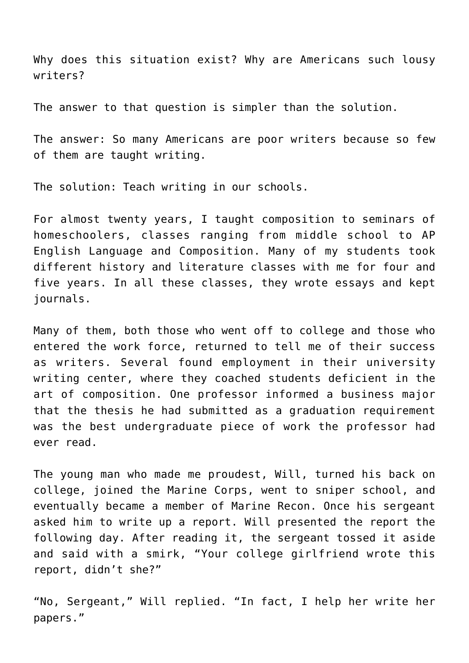Why does this situation exist? Why are Americans such lousy writers?

The answer to that question is simpler than the solution.

The answer: So many Americans are poor writers because so few of them are taught writing.

The solution: Teach writing in our schools.

For almost twenty years, I taught composition to seminars of homeschoolers, classes ranging from middle school to AP English Language and Composition. Many of my students took different history and literature classes with me for four and five years. In all these classes, they wrote essays and kept journals.

Many of them, both those who went off to college and those who entered the work force, returned to tell me of their success as writers. Several found employment in their university writing center, where they coached students deficient in the art of composition. One professor informed a business major that the thesis he had submitted as a graduation requirement was the best undergraduate piece of work the professor had ever read.

The young man who made me proudest, Will, turned his back on college, joined the Marine Corps, went to sniper school, and eventually became a member of Marine Recon. Once his sergeant asked him to write up a report. Will presented the report the following day. After reading it, the sergeant tossed it aside and said with a smirk, "Your college girlfriend wrote this report, didn't she?"

"No, Sergeant," Will replied. "In fact, I help her write her papers."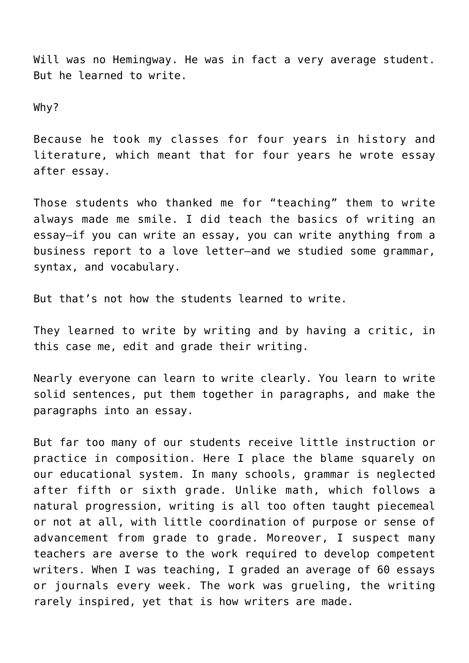Will was no Hemingway. He was in fact a very average student. But he learned to write.

Why?

Because he took my classes for four years in history and literature, which meant that for four years he wrote essay after essay.

Those students who thanked me for "teaching" them to write always made me smile. I did teach the basics of writing an essay—if you can write an essay, you can write anything from a business report to a love letter—and we studied some grammar, syntax, and vocabulary.

But that's not how the students learned to write.

They learned to write by writing and by having a critic, in this case me, edit and grade their writing.

Nearly everyone can learn to write clearly. You learn to write solid sentences, put them together in paragraphs, and make the paragraphs into an essay.

But far too many of our students receive little instruction or practice in composition. Here I place the blame squarely on our educational system. In many schools, grammar is neglected after fifth or sixth grade. Unlike math, which follows a natural progression, writing is all too often taught piecemeal or not at all, with little coordination of purpose or sense of advancement from grade to grade. Moreover, I suspect many teachers are averse to the work required to develop competent writers. When I was teaching, I graded an average of 60 essays or journals every week. The work was grueling, the writing rarely inspired, yet that is how writers are made.